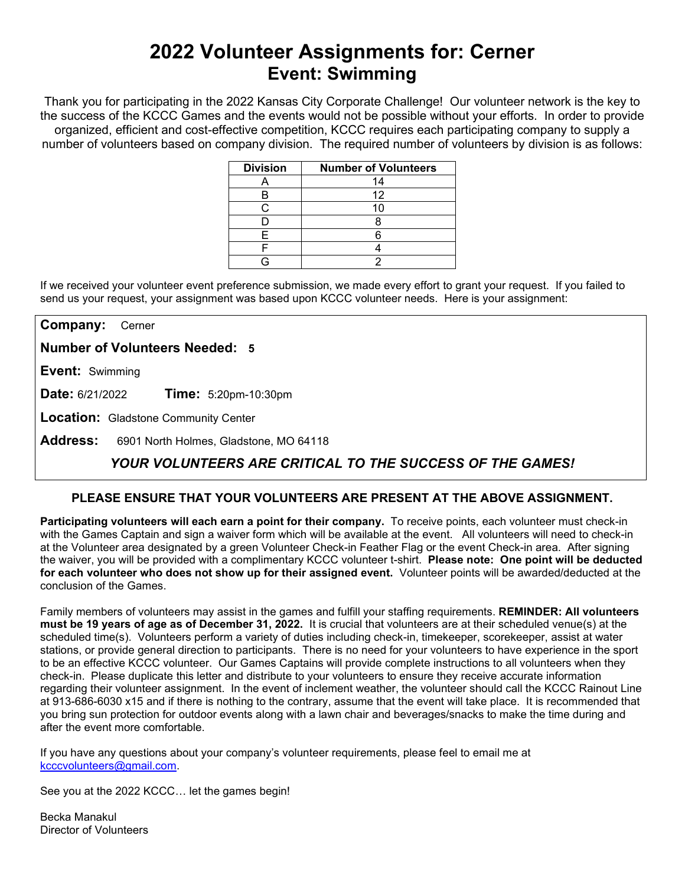# **2022 Volunteer Assignments for: Cerner Event: Swimming**

Thank you for participating in the 2022 Kansas City Corporate Challenge! Our volunteer network is the key to the success of the KCCC Games and the events would not be possible without your efforts.In order to provide organized, efficient and cost-effective competition, KCCC requires each participating company to supply a number of volunteers based on company division. The required number of volunteers by division is as follows:

| <b>Division</b> | <b>Number of Volunteers</b> |
|-----------------|-----------------------------|
|                 | 14                          |
|                 | 12                          |
|                 |                             |
|                 |                             |
|                 |                             |
|                 |                             |
|                 |                             |

If we received your volunteer event preference submission, we made every effort to grant your request. If you failed to send us your request, your assignment was based upon KCCC volunteer needs. Here is your assignment:

**Company:** Cerner

**Number of Volunteers Needed: 5**

**Event:** Swimming

**Date:** 6/21/2022 **Time:** 5:20pm-10:30pm

**Location:** Gladstone Community Center

**Address:** 6901 North Holmes, Gladstone, MO 64118

## *YOUR VOLUNTEERS ARE CRITICAL TO THE SUCCESS OF THE GAMES!*

### **PLEASE ENSURE THAT YOUR VOLUNTEERS ARE PRESENT AT THE ABOVE ASSIGNMENT.**

**Participating volunteers will each earn a point for their company.** To receive points, each volunteer must check-in with the Games Captain and sign a waiver form which will be available at the event. All volunteers will need to check-in at the Volunteer area designated by a green Volunteer Check-in Feather Flag or the event Check-in area. After signing the waiver, you will be provided with a complimentary KCCC volunteer t-shirt. **Please note: One point will be deducted for each volunteer who does not show up for their assigned event.** Volunteer points will be awarded/deducted at the conclusion of the Games.

Family members of volunteers may assist in the games and fulfill your staffing requirements. **REMINDER: All volunteers must be 19 years of age as of December 31, 2022.** It is crucial that volunteers are at their scheduled venue(s) at the scheduled time(s). Volunteers perform a variety of duties including check-in, timekeeper, scorekeeper, assist at water stations, or provide general direction to participants. There is no need for your volunteers to have experience in the sport to be an effective KCCC volunteer. Our Games Captains will provide complete instructions to all volunteers when they check-in. Please duplicate this letter and distribute to your volunteers to ensure they receive accurate information regarding their volunteer assignment. In the event of inclement weather, the volunteer should call the KCCC Rainout Line at 913-686-6030 x15 and if there is nothing to the contrary, assume that the event will take place. It is recommended that you bring sun protection for outdoor events along with a lawn chair and beverages/snacks to make the time during and after the event more comfortable.

If you have any questions about your company's volunteer requirements, please feel to email me at [kcccvolunteers@gmail.com.](mailto:kcccvolunteers@gmail.com)

See you at the 2022 KCCC… let the games begin!

Becka Manakul Director of Volunteers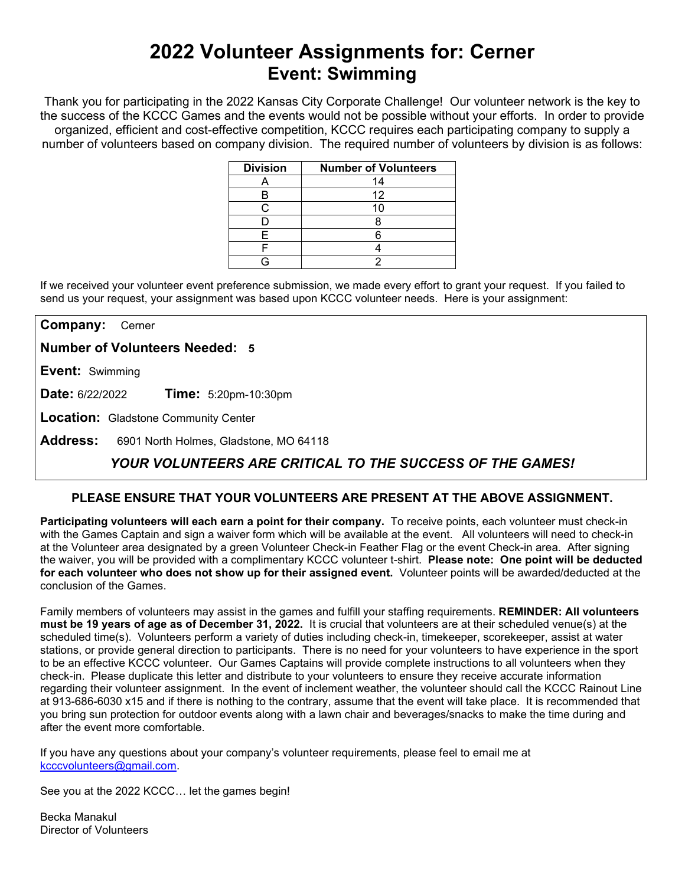# **2022 Volunteer Assignments for: Cerner Event: Swimming**

Thank you for participating in the 2022 Kansas City Corporate Challenge! Our volunteer network is the key to the success of the KCCC Games and the events would not be possible without your efforts.In order to provide organized, efficient and cost-effective competition, KCCC requires each participating company to supply a number of volunteers based on company division. The required number of volunteers by division is as follows:

| <b>Division</b> | <b>Number of Volunteers</b> |
|-----------------|-----------------------------|
|                 | 14                          |
|                 | 12                          |
|                 | 10                          |
|                 |                             |
|                 |                             |
|                 |                             |
|                 |                             |

If we received your volunteer event preference submission, we made every effort to grant your request. If you failed to send us your request, your assignment was based upon KCCC volunteer needs. Here is your assignment:

**Company:** Cerner

**Number of Volunteers Needed: 5**

**Event:** Swimming

**Date:** 6/22/2022 **Time:** 5:20pm-10:30pm

**Location:** Gladstone Community Center

**Address:** 6901 North Holmes, Gladstone, MO 64118

## *YOUR VOLUNTEERS ARE CRITICAL TO THE SUCCESS OF THE GAMES!*

### **PLEASE ENSURE THAT YOUR VOLUNTEERS ARE PRESENT AT THE ABOVE ASSIGNMENT.**

**Participating volunteers will each earn a point for their company.** To receive points, each volunteer must check-in with the Games Captain and sign a waiver form which will be available at the event. All volunteers will need to check-in at the Volunteer area designated by a green Volunteer Check-in Feather Flag or the event Check-in area. After signing the waiver, you will be provided with a complimentary KCCC volunteer t-shirt. **Please note: One point will be deducted for each volunteer who does not show up for their assigned event.** Volunteer points will be awarded/deducted at the conclusion of the Games.

Family members of volunteers may assist in the games and fulfill your staffing requirements. **REMINDER: All volunteers must be 19 years of age as of December 31, 2022.** It is crucial that volunteers are at their scheduled venue(s) at the scheduled time(s). Volunteers perform a variety of duties including check-in, timekeeper, scorekeeper, assist at water stations, or provide general direction to participants. There is no need for your volunteers to have experience in the sport to be an effective KCCC volunteer. Our Games Captains will provide complete instructions to all volunteers when they check-in. Please duplicate this letter and distribute to your volunteers to ensure they receive accurate information regarding their volunteer assignment. In the event of inclement weather, the volunteer should call the KCCC Rainout Line at 913-686-6030 x15 and if there is nothing to the contrary, assume that the event will take place. It is recommended that you bring sun protection for outdoor events along with a lawn chair and beverages/snacks to make the time during and after the event more comfortable.

If you have any questions about your company's volunteer requirements, please feel to email me at [kcccvolunteers@gmail.com.](mailto:kcccvolunteers@gmail.com)

See you at the 2022 KCCC… let the games begin!

Becka Manakul Director of Volunteers